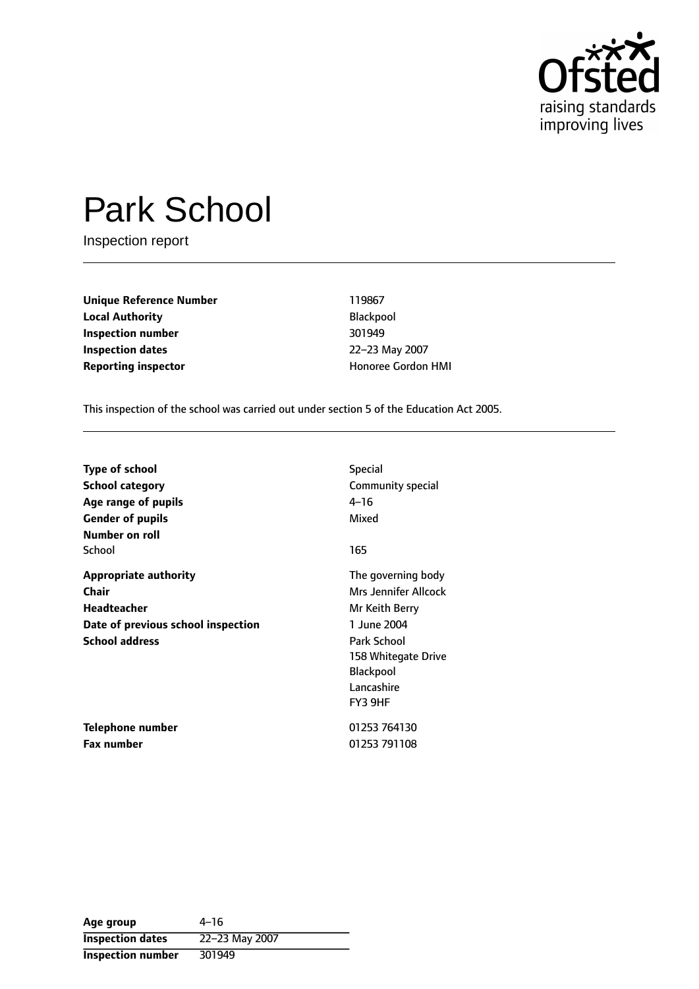

# Park School

Inspection report

**Unique Reference Number** 119867 **Local Authority Blackpool Inspection number** 301949 **Inspection dates** 22-23 May 2007 **Reporting inspector Example 20 and The Condon HMI** Honoree Gordon HMI

This inspection of the school was carried out under section 5 of the Education Act 2005.

| <b>Type of school</b>              | <b>Special</b>       |
|------------------------------------|----------------------|
| <b>School category</b>             | Community special    |
| Age range of pupils                | $4 - 16$             |
| <b>Gender of pupils</b>            | Mixed                |
| Number on roll                     |                      |
| School                             | 165                  |
| <b>Appropriate authority</b>       | The governing body   |
| <b>Chair</b>                       | Mrs Jennifer Allcock |
| <b>Headteacher</b>                 | Mr Keith Berry       |
| Date of previous school inspection | 1 June 2004          |
| <b>School address</b>              | Park School          |
|                                    | 158 Whitegate Drive  |
|                                    | <b>Blackpool</b>     |
|                                    | Lancashire           |
|                                    | FY3 9HF              |
| Telephone number                   | 01253 764130         |
| <b>Fax number</b>                  | 01253 791108         |

| Age group               | 4–16           |
|-------------------------|----------------|
| <b>Inspection dates</b> | 22-23 May 2007 |
| Inspection number       | 301949         |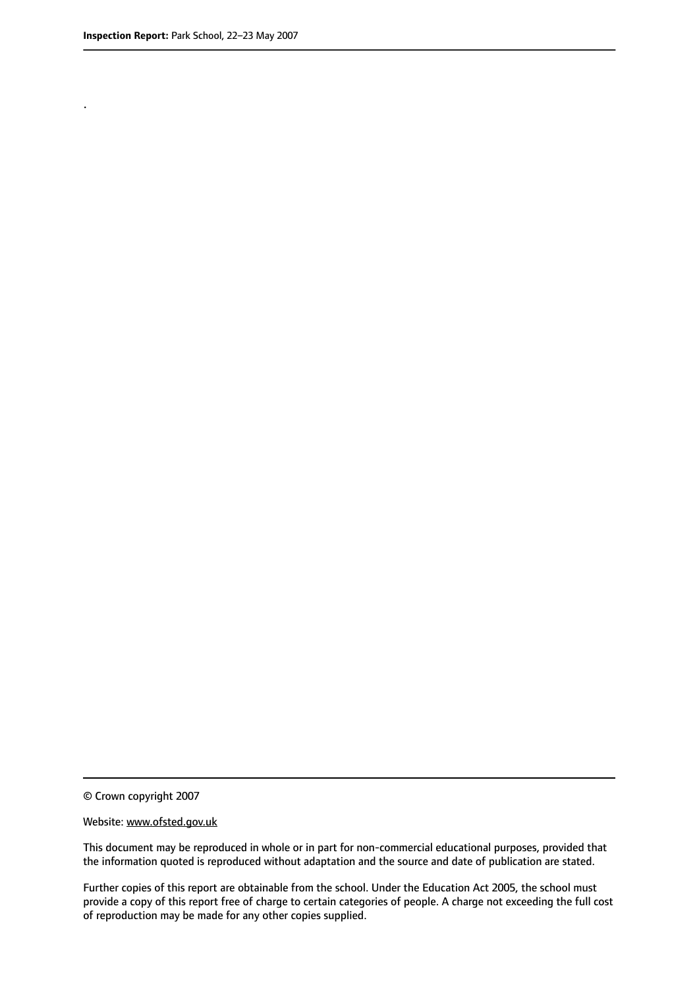.

© Crown copyright 2007

#### Website: www.ofsted.gov.uk

This document may be reproduced in whole or in part for non-commercial educational purposes, provided that the information quoted is reproduced without adaptation and the source and date of publication are stated.

Further copies of this report are obtainable from the school. Under the Education Act 2005, the school must provide a copy of this report free of charge to certain categories of people. A charge not exceeding the full cost of reproduction may be made for any other copies supplied.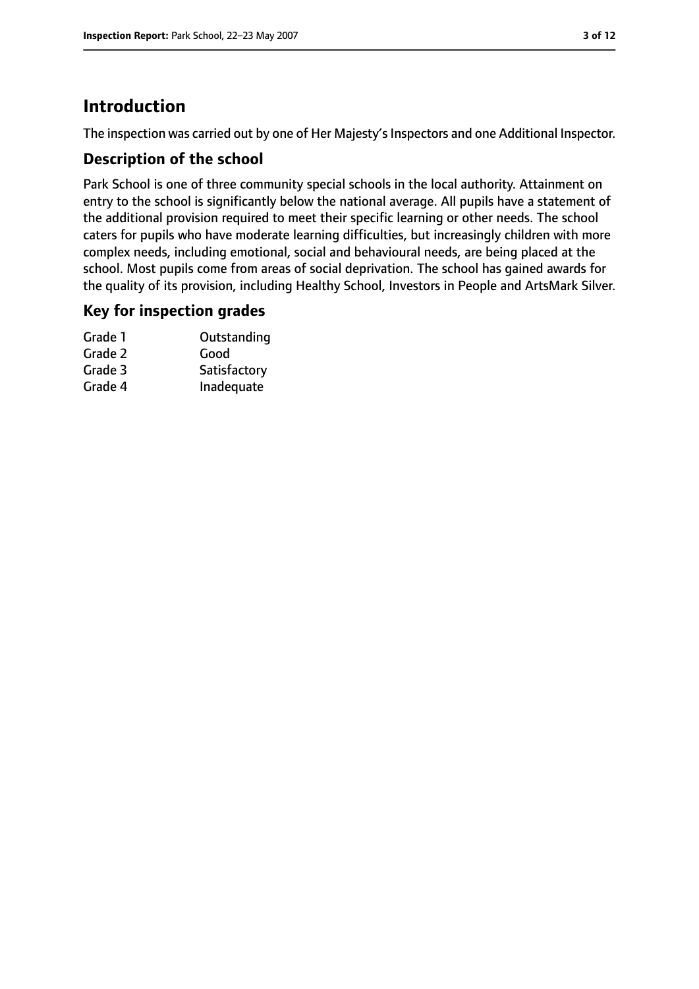## **Introduction**

The inspection was carried out by one of Her Majesty's Inspectors and one Additional Inspector.

#### **Description of the school**

Park School is one of three community special schools in the local authority. Attainment on entry to the school is significantly below the national average. All pupils have a statement of the additional provision required to meet their specific learning or other needs. The school caters for pupils who have moderate learning difficulties, but increasingly children with more complex needs, including emotional, social and behavioural needs, are being placed at the school. Most pupils come from areas of social deprivation. The school has gained awards for the quality of its provision, including Healthy School, Investors in People and ArtsMark Silver.

#### **Key for inspection grades**

| Outstanding  |
|--------------|
| Good         |
| Satisfactory |
| Inadequate   |
|              |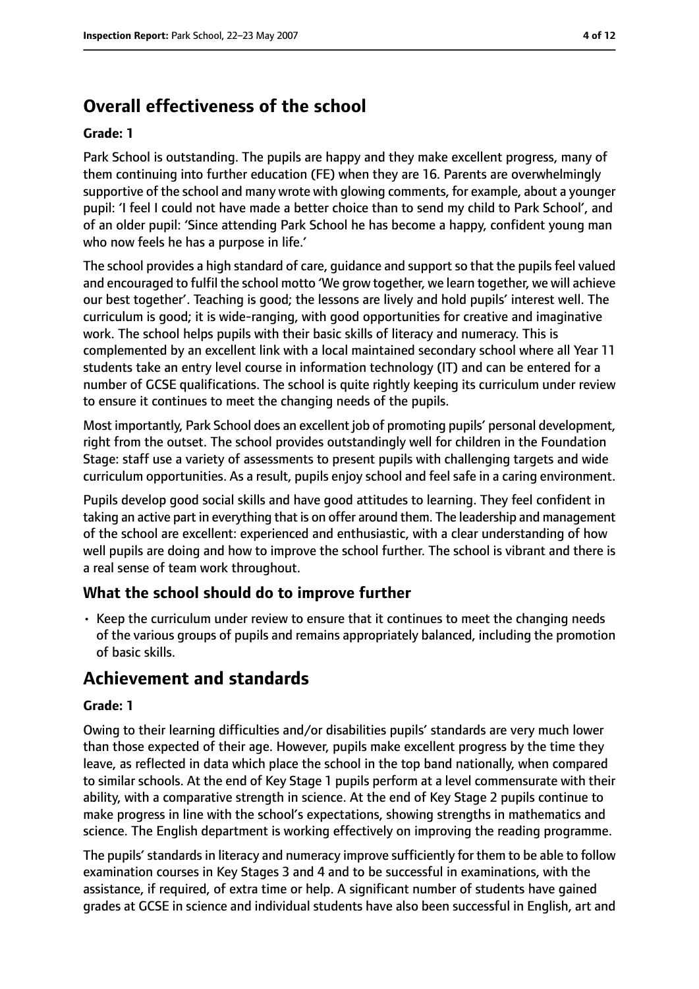## **Overall effectiveness of the school**

#### **Grade: 1**

Park School is outstanding. The pupils are happy and they make excellent progress, many of them continuing into further education (FE) when they are 16. Parents are overwhelmingly supportive of the school and many wrote with glowing comments, for example, about a younger pupil: 'I feel I could not have made a better choice than to send my child to Park School', and of an older pupil: 'Since attending Park School he has become a happy, confident young man who now feels he has a purpose in life.'

The school provides a high standard of care, guidance and support so that the pupils feel valued and encouraged to fulfil the school motto 'We grow together, we learn together, we will achieve our best together'. Teaching is good; the lessons are lively and hold pupils' interest well. The curriculum is good; it is wide-ranging, with good opportunities for creative and imaginative work. The school helps pupils with their basic skills of literacy and numeracy. This is complemented by an excellent link with a local maintained secondary school where all Year 11 students take an entry level course in information technology (IT) and can be entered for a number of GCSE qualifications. The school is quite rightly keeping its curriculum under review to ensure it continues to meet the changing needs of the pupils.

Most importantly, Park School does an excellent job of promoting pupils' personal development, right from the outset. The school provides outstandingly well for children in the Foundation Stage: staff use a variety of assessments to present pupils with challenging targets and wide curriculum opportunities. As a result, pupils enjoy school and feel safe in a caring environment.

Pupils develop good social skills and have good attitudes to learning. They feel confident in taking an active part in everything that is on offer around them. The leadership and management of the school are excellent: experienced and enthusiastic, with a clear understanding of how well pupils are doing and how to improve the school further. The school is vibrant and there is a real sense of team work throughout.

#### **What the school should do to improve further**

• Keep the curriculum under review to ensure that it continues to meet the changing needs of the various groups of pupils and remains appropriately balanced, including the promotion of basic skills.

## **Achievement and standards**

#### **Grade: 1**

Owing to their learning difficulties and/or disabilities pupils' standards are very much lower than those expected of their age. However, pupils make excellent progress by the time they leave, as reflected in data which place the school in the top band nationally, when compared to similar schools. At the end of Key Stage 1 pupils perform at a level commensurate with their ability, with a comparative strength in science. At the end of Key Stage 2 pupils continue to make progress in line with the school's expectations, showing strengths in mathematics and science. The English department is working effectively on improving the reading programme.

The pupils' standards in literacy and numeracy improve sufficiently for them to be able to follow examination courses in Key Stages 3 and 4 and to be successful in examinations, with the assistance, if required, of extra time or help. A significant number of students have gained grades at GCSE in science and individual students have also been successful in English, art and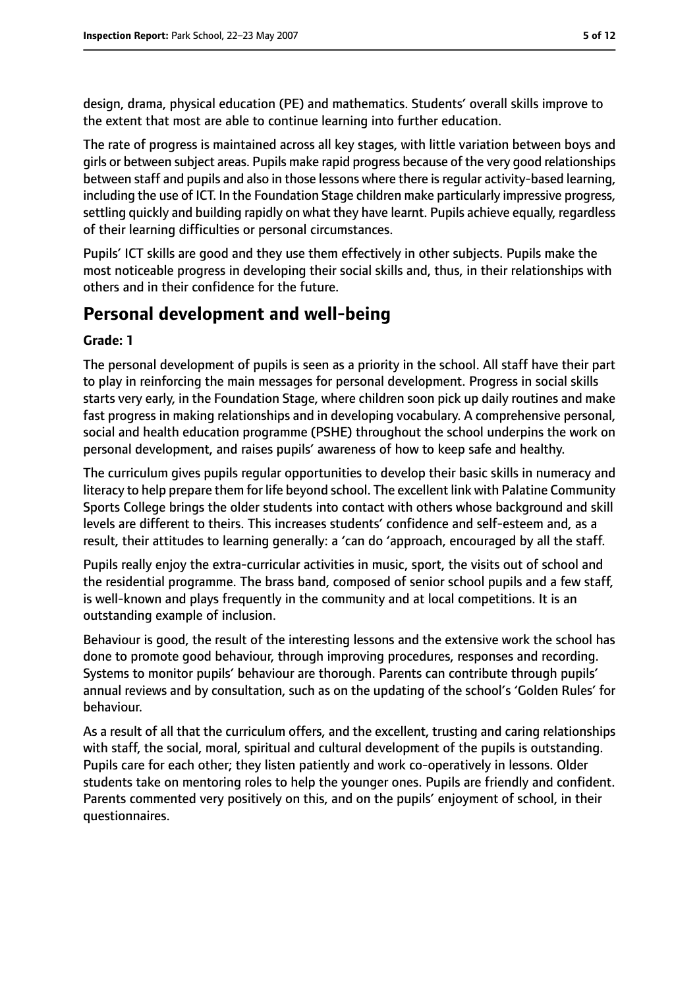design, drama, physical education (PE) and mathematics. Students' overall skills improve to the extent that most are able to continue learning into further education.

The rate of progress is maintained across all key stages, with little variation between boys and girls or between subject areas. Pupils make rapid progress because of the very good relationships between staff and pupils and also in those lessons where there is regular activity-based learning, including the use of ICT. In the Foundation Stage children make particularly impressive progress, settling quickly and building rapidly on what they have learnt. Pupils achieve equally, regardless of their learning difficulties or personal circumstances.

Pupils' ICT skills are good and they use them effectively in other subjects. Pupils make the most noticeable progress in developing their social skills and, thus, in their relationships with others and in their confidence for the future.

## **Personal development and well-being**

#### **Grade: 1**

The personal development of pupils is seen as a priority in the school. All staff have their part to play in reinforcing the main messages for personal development. Progress in social skills starts very early, in the Foundation Stage, where children soon pick up daily routines and make fast progress in making relationships and in developing vocabulary. A comprehensive personal, social and health education programme (PSHE) throughout the school underpins the work on personal development, and raises pupils' awareness of how to keep safe and healthy.

The curriculum gives pupils regular opportunities to develop their basic skills in numeracy and literacy to help prepare them for life beyond school. The excellent link with Palatine Community Sports College brings the older students into contact with others whose background and skill levels are different to theirs. This increases students' confidence and self-esteem and, as a result, their attitudes to learning generally: a 'can do 'approach, encouraged by all the staff.

Pupils really enjoy the extra-curricular activities in music, sport, the visits out of school and the residential programme. The brass band, composed of senior school pupils and a few staff, is well-known and plays frequently in the community and at local competitions. It is an outstanding example of inclusion.

Behaviour is good, the result of the interesting lessons and the extensive work the school has done to promote good behaviour, through improving procedures, responses and recording. Systems to monitor pupils' behaviour are thorough. Parents can contribute through pupils' annual reviews and by consultation, such as on the updating of the school's 'Golden Rules' for behaviour.

As a result of all that the curriculum offers, and the excellent, trusting and caring relationships with staff, the social, moral, spiritual and cultural development of the pupils is outstanding. Pupils care for each other; they listen patiently and work co-operatively in lessons. Older students take on mentoring roles to help the younger ones. Pupils are friendly and confident. Parents commented very positively on this, and on the pupils' enjoyment of school, in their questionnaires.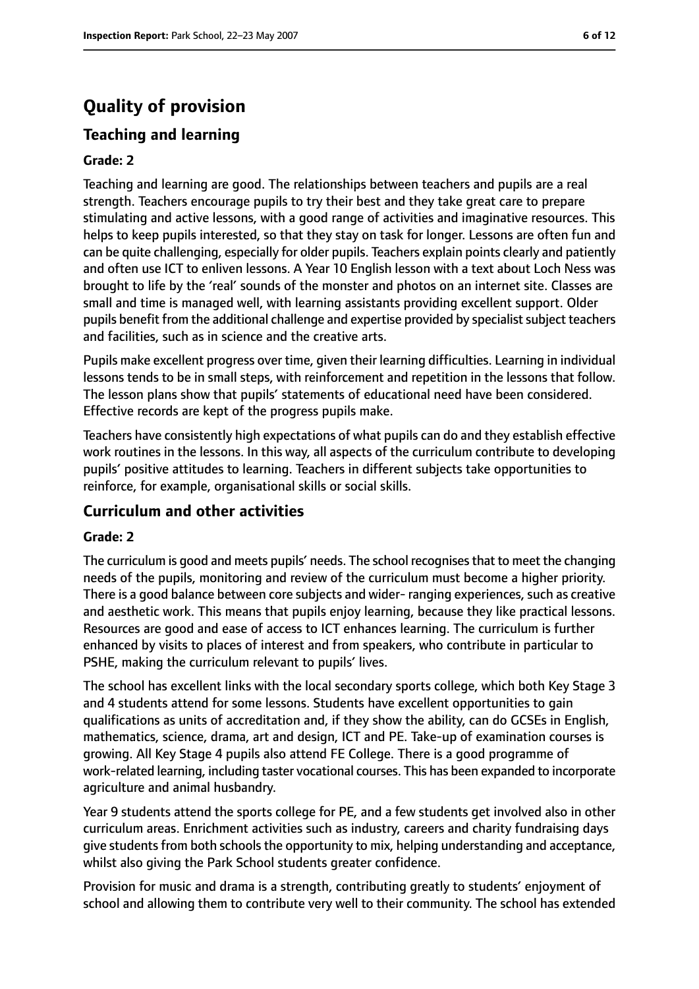## **Quality of provision**

#### **Teaching and learning**

#### **Grade: 2**

Teaching and learning are good. The relationships between teachers and pupils are a real strength. Teachers encourage pupils to try their best and they take great care to prepare stimulating and active lessons, with a good range of activities and imaginative resources. This helps to keep pupils interested, so that they stay on task for longer. Lessons are often fun and can be quite challenging, especially for older pupils. Teachers explain points clearly and patiently and often use ICT to enliven lessons. A Year 10 English lesson with a text about Loch Ness was brought to life by the 'real' sounds of the monster and photos on an internet site. Classes are small and time is managed well, with learning assistants providing excellent support. Older pupils benefit from the additional challenge and expertise provided by specialist subject teachers and facilities, such as in science and the creative arts.

Pupils make excellent progress over time, given their learning difficulties. Learning in individual lessons tends to be in small steps, with reinforcement and repetition in the lessons that follow. The lesson plans show that pupils' statements of educational need have been considered. Effective records are kept of the progress pupils make.

Teachers have consistently high expectations of what pupils can do and they establish effective work routines in the lessons. In this way, all aspects of the curriculum contribute to developing pupils' positive attitudes to learning. Teachers in different subjects take opportunities to reinforce, for example, organisational skills or social skills.

#### **Curriculum and other activities**

#### **Grade: 2**

The curriculum is good and meets pupils' needs. The school recognisesthat to meet the changing needs of the pupils, monitoring and review of the curriculum must become a higher priority. There is a good balance between core subjects and wider-ranging experiences, such as creative and aesthetic work. This means that pupils enjoy learning, because they like practical lessons. Resources are good and ease of access to ICT enhances learning. The curriculum is further enhanced by visits to places of interest and from speakers, who contribute in particular to PSHE, making the curriculum relevant to pupils' lives.

The school has excellent links with the local secondary sports college, which both Key Stage 3 and 4 students attend for some lessons. Students have excellent opportunities to gain qualifications as units of accreditation and, if they show the ability, can do GCSEs in English, mathematics, science, drama, art and design, ICT and PE. Take-up of examination courses is growing. All Key Stage 4 pupils also attend FE College. There is a good programme of work-related learning, including taster vocational courses. This has been expanded to incorporate agriculture and animal husbandry.

Year 9 students attend the sports college for PE, and a few students get involved also in other curriculum areas. Enrichment activities such as industry, careers and charity fundraising days give students from both schools the opportunity to mix, helping understanding and acceptance, whilst also giving the Park School students greater confidence.

Provision for music and drama is a strength, contributing greatly to students' enjoyment of school and allowing them to contribute very well to their community. The school has extended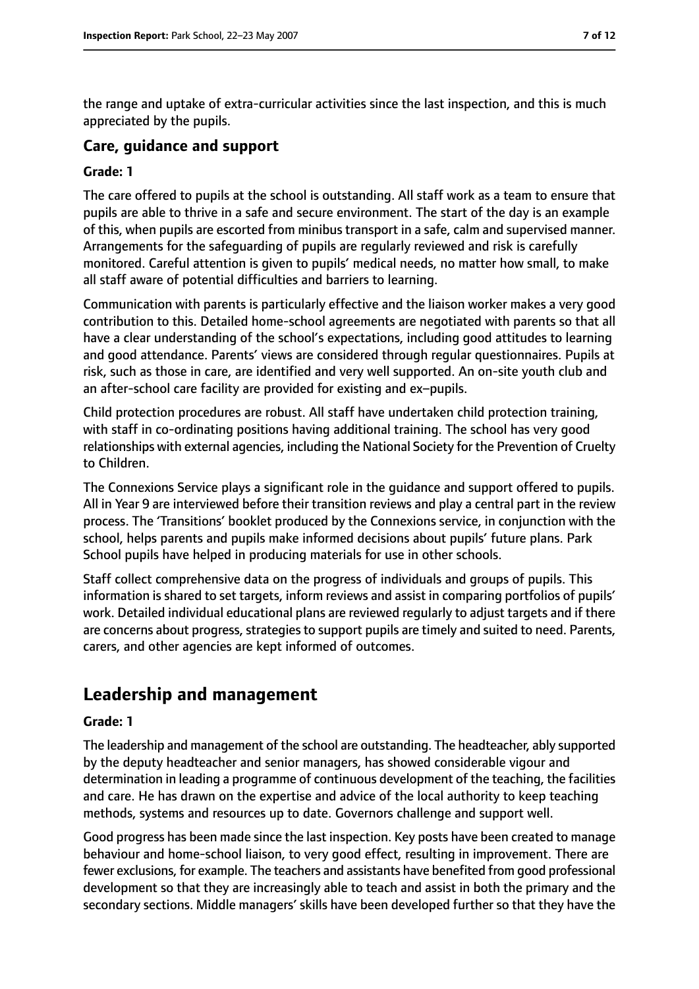the range and uptake of extra-curricular activities since the last inspection, and this is much appreciated by the pupils.

#### **Care, guidance and support**

#### **Grade: 1**

The care offered to pupils at the school is outstanding. All staff work as a team to ensure that pupils are able to thrive in a safe and secure environment. The start of the day is an example of this, when pupils are escorted from minibus transport in a safe, calm and supervised manner. Arrangements for the safeguarding of pupils are regularly reviewed and risk is carefully monitored. Careful attention is given to pupils' medical needs, no matter how small, to make all staff aware of potential difficulties and barriers to learning.

Communication with parents is particularly effective and the liaison worker makes a very good contribution to this. Detailed home-school agreements are negotiated with parents so that all have a clear understanding of the school's expectations, including good attitudes to learning and good attendance. Parents' views are considered through regular questionnaires. Pupils at risk, such as those in care, are identified and very well supported. An on-site youth club and an after-school care facility are provided for existing and ex-pupils.

Child protection procedures are robust. All staff have undertaken child protection training, with staff in co-ordinating positions having additional training. The school has very good relationships with external agencies, including the National Society for the Prevention of Cruelty to Children.

The Connexions Service plays a significant role in the guidance and support offered to pupils. All in Year 9 are interviewed before their transition reviews and play a central part in the review process. The 'Transitions' booklet produced by the Connexions service, in conjunction with the school, helps parents and pupils make informed decisions about pupils' future plans. Park School pupils have helped in producing materials for use in other schools.

Staff collect comprehensive data on the progress of individuals and groups of pupils. This information is shared to set targets, inform reviews and assist in comparing portfolios of pupils' work. Detailed individual educational plans are reviewed regularly to adjust targets and if there are concerns about progress, strategies to support pupils are timely and suited to need. Parents, carers, and other agencies are kept informed of outcomes.

## **Leadership and management**

#### **Grade: 1**

The leadership and management of the school are outstanding. The headteacher, ably supported by the deputy headteacher and senior managers, has showed considerable vigour and determination in leading a programme of continuous development of the teaching, the facilities and care. He has drawn on the expertise and advice of the local authority to keep teaching methods, systems and resources up to date. Governors challenge and support well.

Good progress has been made since the last inspection. Key posts have been created to manage behaviour and home-school liaison, to very good effect, resulting in improvement. There are fewer exclusions, for example. The teachers and assistants have benefited from good professional development so that they are increasingly able to teach and assist in both the primary and the secondary sections. Middle managers' skills have been developed further so that they have the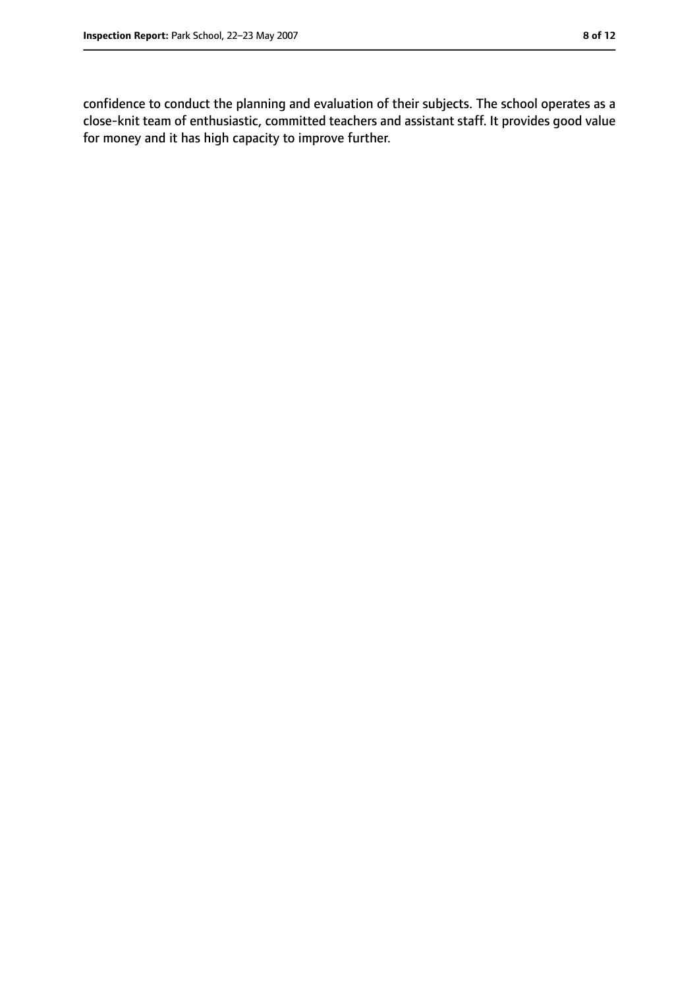confidence to conduct the planning and evaluation of their subjects. The school operates as a close-knit team of enthusiastic, committed teachers and assistant staff. It provides good value for money and it has high capacity to improve further.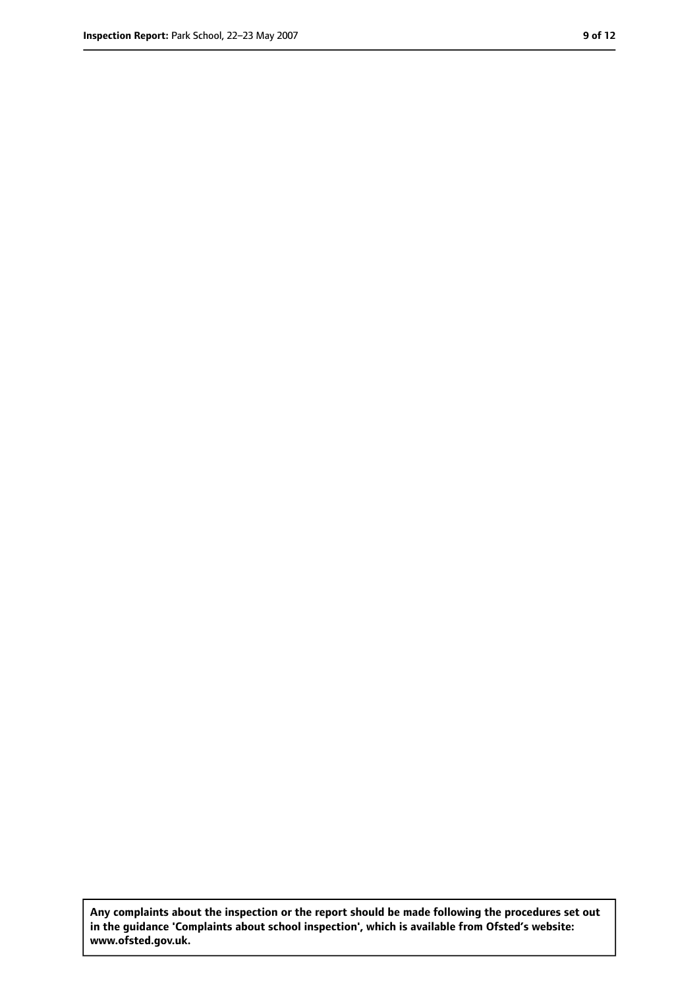**Any complaints about the inspection or the report should be made following the procedures set out in the guidance 'Complaints about school inspection', which is available from Ofsted's website: www.ofsted.gov.uk.**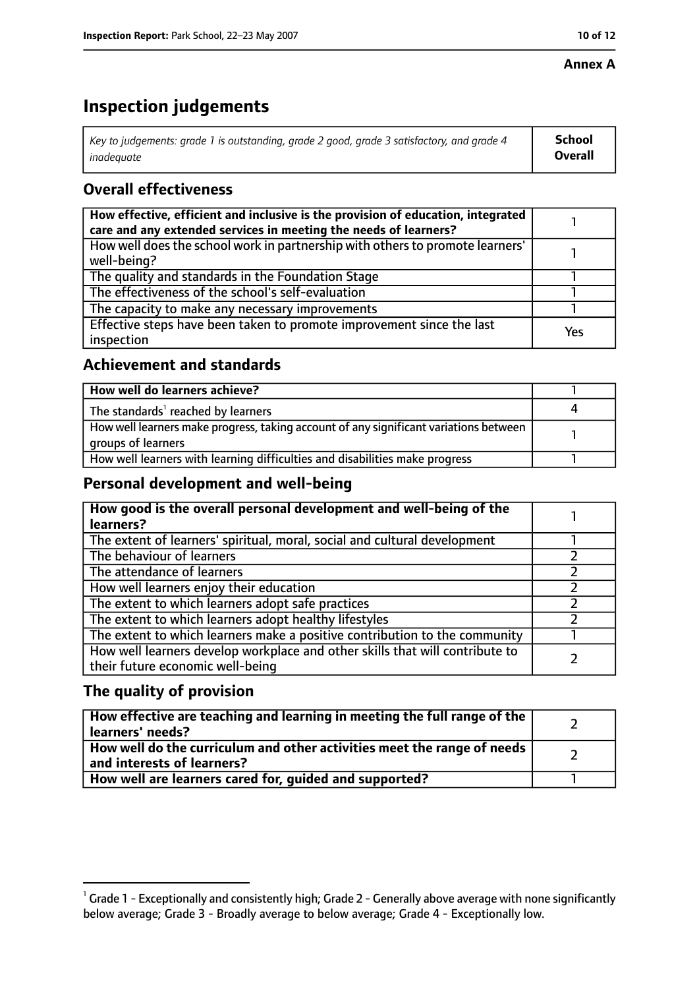#### **Annex A**

## **Inspection judgements**

| Key to judgements: grade 1 is outstanding, grade 2 good, grade 3 satisfactory, and grade 4 | School  |
|--------------------------------------------------------------------------------------------|---------|
| inadeauate                                                                                 | Overall |

#### **Overall effectiveness**

| How effective, efficient and inclusive is the provision of education, integrated<br>care and any extended services in meeting the needs of learners? |     |
|------------------------------------------------------------------------------------------------------------------------------------------------------|-----|
| How well does the school work in partnership with others to promote learners'<br>well-being?                                                         |     |
| The quality and standards in the Foundation Stage                                                                                                    |     |
| The effectiveness of the school's self-evaluation                                                                                                    |     |
| The capacity to make any necessary improvements                                                                                                      |     |
| Effective steps have been taken to promote improvement since the last<br>inspection                                                                  | Yes |

#### **Achievement and standards**

| How well do learners achieve?                                                                               |  |
|-------------------------------------------------------------------------------------------------------------|--|
| The standards <sup>1</sup> reached by learners                                                              |  |
| How well learners make progress, taking account of any significant variations between<br>groups of learners |  |
| How well learners with learning difficulties and disabilities make progress                                 |  |

#### **Personal development and well-being**

| How good is the overall personal development and well-being of the<br>learners?                                  |  |
|------------------------------------------------------------------------------------------------------------------|--|
| The extent of learners' spiritual, moral, social and cultural development                                        |  |
| The behaviour of learners                                                                                        |  |
| The attendance of learners                                                                                       |  |
| How well learners enjoy their education                                                                          |  |
| The extent to which learners adopt safe practices                                                                |  |
| The extent to which learners adopt healthy lifestyles                                                            |  |
| The extent to which learners make a positive contribution to the community                                       |  |
| How well learners develop workplace and other skills that will contribute to<br>their future economic well-being |  |

#### **The quality of provision**

| How effective are teaching and learning in meeting the full range of the<br>learners' needs?          |  |
|-------------------------------------------------------------------------------------------------------|--|
| How well do the curriculum and other activities meet the range of needs<br>and interests of learners? |  |
| How well are learners cared for, quided and supported?                                                |  |

 $^1$  Grade 1 - Exceptionally and consistently high; Grade 2 - Generally above average with none significantly below average; Grade 3 - Broadly average to below average; Grade 4 - Exceptionally low.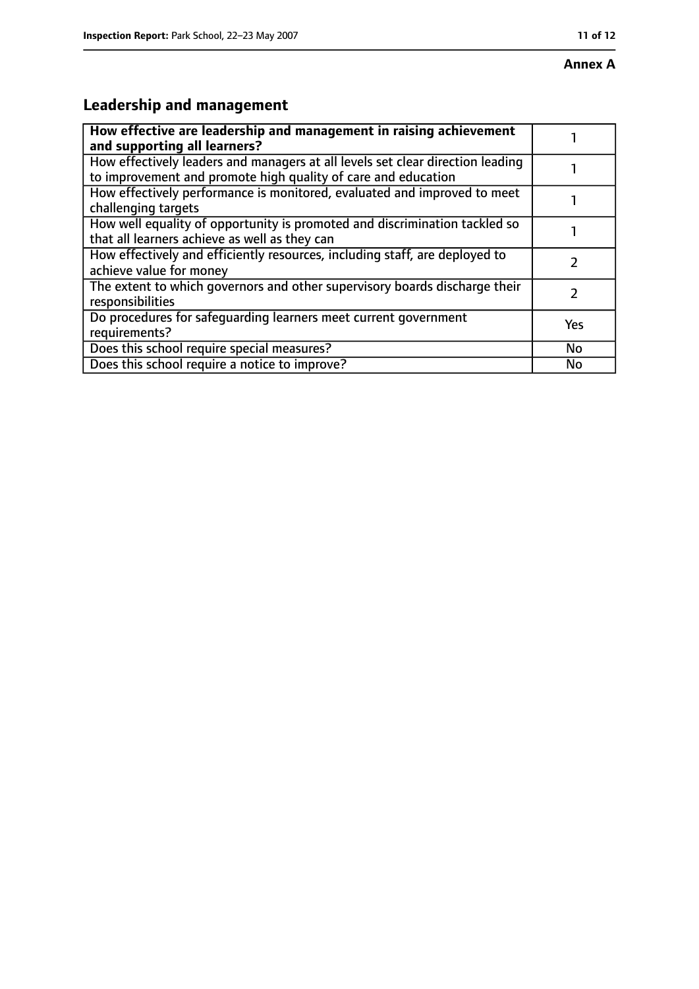## **Leadership and management**

| How effective are leadership and management in raising achievement<br>and supporting all learners?                                              |           |
|-------------------------------------------------------------------------------------------------------------------------------------------------|-----------|
| How effectively leaders and managers at all levels set clear direction leading<br>to improvement and promote high quality of care and education |           |
| How effectively performance is monitored, evaluated and improved to meet<br>challenging targets                                                 |           |
| How well equality of opportunity is promoted and discrimination tackled so<br>that all learners achieve as well as they can                     |           |
| How effectively and efficiently resources, including staff, are deployed to<br>achieve value for money                                          |           |
| The extent to which governors and other supervisory boards discharge their<br>responsibilities                                                  | 7         |
| Do procedures for safequarding learners meet current government<br>requirements?                                                                | Yes       |
| Does this school require special measures?                                                                                                      | <b>No</b> |
| Does this school require a notice to improve?                                                                                                   | No        |